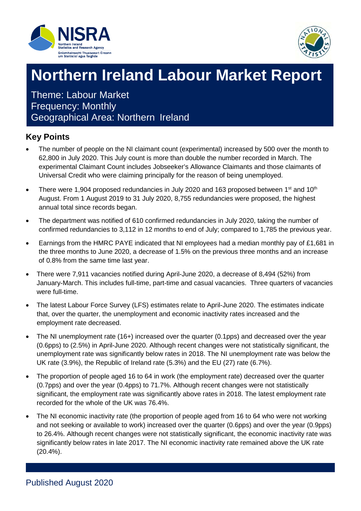



### **Northern Ireland Labour Market Report**

Theme: Labour Market Frequency: Monthly Geographical Area: Northern Ireland

### **Key Points**

- The number of people on the NI claimant count (experimental) increased by 500 over the month to 62,800 in July 2020. This July count is more than double the number recorded in March. The experimental Claimant Count includes Jobseeker's Allowance Claimants and those claimants of Universal Credit who were claiming principally for the reason of being unemployed.
- There were 1,904 proposed redundancies in July 2020 and 163 proposed between 1<sup>st</sup> and 10<sup>th</sup> August. From 1 August 2019 to 31 July 2020, 8,755 redundancies were proposed, the highest annual total since records began.
- The department was notified of 610 confirmed redundancies in July 2020, taking the number of confirmed redundancies to 3,112 in 12 months to end of July; compared to 1,785 the previous year.
- Earnings from the HMRC PAYE indicated that NI employees had a median monthly pay of £1,681 in the three months to June 2020, a decrease of 1.5% on the previous three months and an increase of 0.8% from the same time last year.
- There were 7,911 vacancies notified during April-June 2020, a decrease of 8,494 (52%) from January-March. This includes full-time, part-time and casual vacancies. Three quarters of vacancies were full-time.
- The latest Labour Force Survey (LFS) estimates relate to April-June 2020. The estimates indicate that, over the quarter, the unemployment and economic inactivity rates increased and the employment rate decreased.
- The NI unemployment rate (16+) increased over the quarter (0.1pps) and decreased over the year (0.6pps) to (2.5%) in April-June 2020. Although recent changes were not statistically significant, the unemployment rate was significantly below rates in 2018. The NI unemployment rate was below the UK rate (3.9%), the Republic of Ireland rate (5.3%) and the EU (27) rate (6.7%).
- The proportion of people aged 16 to 64 in work (the employment rate) decreased over the quarter (0.7pps) and over the year (0.4pps) to 71.7%. Although recent changes were not statistically significant, the employment rate was significantly above rates in 2018. The latest employment rate recorded for the whole of the UK was 76.4%.
- The NI economic inactivity rate (the proportion of people aged from 16 to 64 who were not working and not seeking or available to work) increased over the quarter (0.6pps) and over the year (0.9pps) to 26.4%. Although recent changes were not statistically significant, the economic inactivity rate was significantly below rates in late 2017. The NI economic inactivity rate remained above the UK rate (20.4%).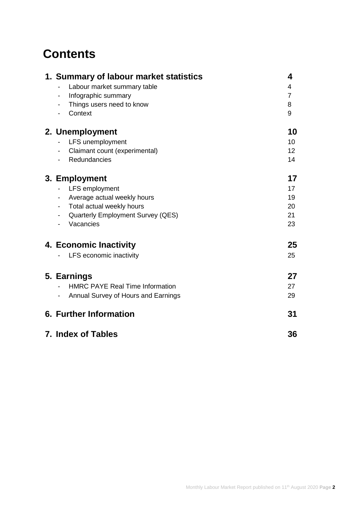### **Contents**

| 1. Summary of labour market statistics                               | 4               |
|----------------------------------------------------------------------|-----------------|
| Labour market summary table                                          | 4               |
| Infographic summary                                                  | $\overline{7}$  |
| Things users need to know                                            | 8               |
| Context<br>$\overline{\phantom{a}}$                                  | 9               |
| 2. Unemployment                                                      | 10              |
| LFS unemployment                                                     | 10 <sup>1</sup> |
| Claimant count (experimental)<br>$\qquad \qquad \blacksquare$        | 12              |
| Redundancies                                                         | 14              |
| 3. Employment                                                        | 17              |
| LFS employment                                                       | 17              |
| Average actual weekly hours                                          | 19              |
| Total actual weekly hours<br>$\overline{\phantom{a}}$                | 20              |
| <b>Quarterly Employment Survey (QES)</b><br>$\overline{\phantom{a}}$ | 21              |
| Vacancies<br>$\blacksquare$                                          | 23              |
| 4. Economic Inactivity                                               | 25              |
| LFS economic inactivity                                              | 25              |
| 5. Earnings                                                          | 27              |
| <b>HMRC PAYE Real Time Information</b>                               | 27              |
| Annual Survey of Hours and Earnings<br>$\qquad \qquad \blacksquare$  | 29              |
| <b>6. Further Information</b>                                        | 31              |
|                                                                      |                 |
| 7. Index of Tables                                                   | 36              |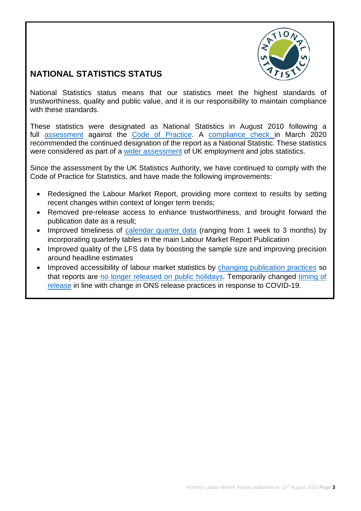

### **NATIONAL STATISTICS STATUS**

National Statistics status means that our statistics meet the highest standards of trustworthiness, quality and public value, and it is our responsibility to maintain compliance with these standards.

These statistics were designated as National Statistics in August 2010 following a full [assessment](https://uksa.statisticsauthority.gov.uk/wp-content/uploads/2015/12/images-assessment-report-29-assessment-of-labour-market-statistics-for-northern-ireland_tcm97-29491.pdf) against the [Code of Practice.](https://www.statisticsauthority.gov.uk/code-of-practice/) A [compliance check](https://www.statisticsauthority.gov.uk/correspondence/devolved-labour-market-compliance-check/) in March 2020 recommended the continued designation of the report as a National Statistic. These statistics were considered as part of a [wider assessment](https://www.statisticsauthority.gov.uk/publication/assessment-report-uk-employment-and-jobs-statistics/) of UK employment and jobs statistics.

Since the assessment by the UK Statistics Authority, we have continued to comply with the Code of Practice for Statistics, and have made the following improvements:

- Redesigned the Labour Market Report, providing more context to results by setting recent changes within context of longer term trends;
- Removed pre-release access to enhance trustworthiness, and brought forward the publication date as a result;
- Improved timeliness of [calendar quarter data](https://www.nisra.gov.uk/publications/quarterly-labour-force-survey-tables-august-2020) (ranging from 1 week to 3 months) by incorporating quarterly tables in the main Labour Market Report Publication
- Improved quality of the LFS data by boosting the sample size and improving precision around headline estimates
- Improved accessibility of labour market statistics by changing [publication practices](https://www.ons.gov.uk/news/statementsandletters/statementonchangingthereleasedatesofonsstatisticstoavoidpublicholidays) so that reports are [no longer released on public holidays.](https://www.nisra.gov.uk/publications/elms-publication-schedule) Temporarily changed [timing of](https://osr.statisticsauthority.gov.uk/covid-19-changes-to-statistics/)  [release](https://osr.statisticsauthority.gov.uk/covid-19-changes-to-statistics/) in line with change in ONS release practices in response to COVID-19.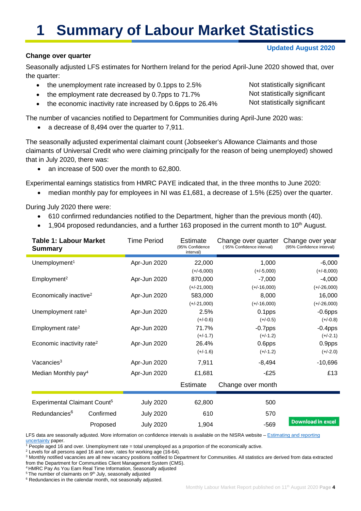# **1 Summary of Labour Market Statistics**

#### **Change over quarter**

Seasonally adjusted LFS estimates for Northern Ireland for the period April-June 2020 showed that, over the quarter:

- the unemployment rate increased by 0.1pps to 2.5%
- the employment rate decreased by 0.7pps to 71.7%
- the economic inactivity rate increased by 0.6pps to 26.4%

The number of vacancies notified to Department for Communities during April-June 2020 was:

• a decrease of 8,494 over the quarter to 7,911.

The seasonally adjusted experimental claimant count (Jobseeker's Allowance Claimants and those claimants of Universal Credit who were claiming principally for the reason of being unemployed) showed that in July 2020, there was:

• an increase of 500 over the month to 62,800.

Experimental earnings statistics from HMRC PAYE indicated that, in the three months to June 2020:

• median monthly pay for employees in NI was £1,681, a decrease of 1.5% (£25) over the quarter.

During July 2020 there were:

Ē

- 610 confirmed redundancies notified to the Department, higher than the previous month (40).
- $\bullet$  1,904 proposed redundancies, and a further 163 proposed in the current month to 10<sup>th</sup> August.

| <b>Table 1: Labour Market</b><br><b>Summary</b> |           | <b>Time Period</b> | Estimate<br>(95% Confidence<br>interval) | Change over quarter<br>(95% Confidence interval) | Change over year<br>(95% Confidence interval) |
|-------------------------------------------------|-----------|--------------------|------------------------------------------|--------------------------------------------------|-----------------------------------------------|
| Unemployment <sup>1</sup>                       |           | Apr-Jun 2020       | 22,000                                   | 1,000                                            | $-6,000$                                      |
|                                                 |           |                    | $(+/-6,000)$                             | $(+/-5,000)$                                     | $(+/-8,000)$                                  |
| Employment <sup>2</sup>                         |           | Apr-Jun 2020       | 870,000                                  | $-7,000$                                         | $-4,000$                                      |
|                                                 |           |                    | $(+/-21,000)$                            | $(+/-16,000)$                                    | $(+/-26,000)$                                 |
| Economically inactive <sup>2</sup>              |           | Apr-Jun 2020       | 583,000                                  | 8,000                                            | 16,000                                        |
|                                                 |           |                    | $(+/-21,000)$                            | $(+/-16,000)$                                    | $(+/-26,000)$                                 |
| Unemployment rate <sup>1</sup>                  |           | Apr-Jun 2020       | 2.5%                                     | 0.1pps                                           | $-0.6$ pps                                    |
|                                                 |           |                    | $(+/-0.6)$                               | $(+/-0.5)$                                       | $(+/-0.8)$                                    |
| Employment rate <sup>2</sup>                    |           | Apr-Jun 2020       | 71.7%                                    | $-0.7$ pps                                       | $-0.4$ pps                                    |
|                                                 |           |                    | $(+/-1.7)$                               | $(+/-1.2)$                                       | $(+/-2.1)$                                    |
| Economic inactivity rate <sup>2</sup>           |           | Apr-Jun 2020       | 26.4%                                    | 0.6pps                                           | 0.9pps                                        |
|                                                 |           |                    | $(+/-1.6)$                               | $(+/-1.2)$                                       | $(+/-2.0)$                                    |
| Vacancies <sup>3</sup>                          |           | Apr-Jun 2020       | 7,911                                    | $-8,494$                                         | $-10,696$                                     |
| Median Monthly pay <sup>4</sup>                 |           | Apr-Jun 2020       | £1,681                                   | $-E25$                                           | £13                                           |
|                                                 |           |                    | <b>Estimate</b>                          | Change over month                                |                                               |
| Experimental Claimant Count <sup>5</sup>        |           | <b>July 2020</b>   | 62,800                                   | 500                                              |                                               |
| Redundancies <sup>6</sup>                       | Confirmed | <b>July 2020</b>   | 610                                      | 570                                              |                                               |
|                                                 | Proposed  | <b>July 2020</b>   | 1,904                                    | $-569$                                           | <b>Download in excel</b>                      |

LFS data are seasonally adjusted. More information on confidence intervals is available on the NISRA website –  $Estimating and reporting uncertainty paper.$ 

<sup>3</sup> Monthly notified vacancies are all new vacancy positions notified to Department for Communities. All statistics are derived from data extracted from the Department for Communities Client Management System (CMS).<br><sup>4</sup> HMRC Pay As You Earn Real Time Information, Seasonally adjusted

 $5$  The number of claimants on 9<sup>th</sup> July, seasonally adjusted

 $6$  Redundancies in the calendar month, not seasonally adjusted.

Not statistically significant Not statistically significant Not statistically significant

<sup>&</sup>lt;sup>1</sup> People aged 16 and over. Unemployment rate = total unemployed as a proportion of the economically active.<br><sup>2</sup> Levels for all persons aged 16 and over, rates for working age (16-64).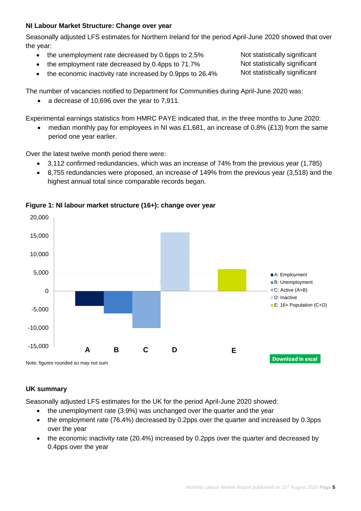#### **NI Labour Market Structure: Change over year**

Seasonally adjusted LFS estimates for Northern Ireland for the period April-June 2020 showed that over the year:

- the unemployment rate decreased by 0.6pps to 2.5%
- the employment rate decreased by 0.4pps to 71.7%
- the economic inactivity rate increased by 0.9pps to 26.4%

The number of vacancies notified to Department for Communities during April-June 2020 was:

• a decrease of 10,696 over the year to 7,911.

Experimental earnings statistics from HMRC PAYE indicated that, in the three months to June 2020:

median monthly pay for employees in NI was £1,681, an increase of 0.8% (£13) from the same period one year earlier.

Over the latest twelve month period there were:

- 3,112 confirmed redundancies, which was an increase of 74% from the previous year (1,785)
- 8,755 redundancies were proposed, an increase of 149% from the previous year (3,518) and the highest annual total since comparable records began.



#### **Figure 1: NI labour market structure (16+): change over year**

#### **UK summary**

Seasonally adjusted LFS estimates for the UK for the period April-June 2020 showed:

- the unemployment rate (3.9%) was unchanged over the quarter and the year
- the employment rate (76.4%) decreased by 0.2pps over the quarter and increased by 0.3pps over the year
- the economic inactivity rate (20.4%) increased by 0.2pps over the quarter and decreased by 0.4pps over the year

Not statistically significant Not statistically significant Not statistically significant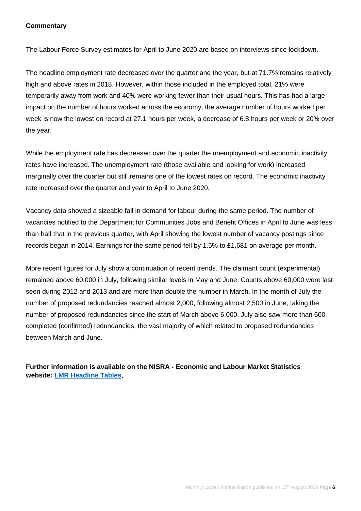#### **Commentary**

The Labour Force Survey estimates for April to June 2020 are based on interviews since lockdown.

The headline employment rate decreased over the quarter and the year, but at 71.7% remains relatively high and above rates in 2018. However, within those included in the employed total, 21% were temporarily away from work and 40% were working fewer than their usual hours. This has had a large impact on the number of hours worked across the economy; the average number of hours worked per week is now the lowest on record at 27.1 hours per week, a decrease of 6.8 hours per week or 20% over the year.

While the employment rate has decreased over the quarter the unemployment and economic inactivity rates have increased. The unemployment rate (those available and looking for work) increased marginally over the quarter but still remains one of the lowest rates on record. The economic inactivity rate increased over the quarter and year to April to June 2020.

Vacancy data showed a sizeable fall in demand for labour during the same period. The number of vacancies notified to the Department for Communities Jobs and Benefit Offices in April to June was less than half that in the previous quarter, with April showing the lowest number of vacancy postings since records began in 2014. Earnings for the same period fell by 1.5% to £1,681 on average per month.

More recent figures for July show a continuation of recent trends. The claimant count (experimental) remained above 60,000 in July, following similar levels in May and June. Counts above 60,000 were last seen during 2012 and 2013 and are more than double the number in March. In the month of July the number of proposed redundancies reached almost 2,000, following almost 2,500 in June, taking the number of proposed redundancies since the start of March above 6,000. July also saw more than 600 completed (confirmed) redundancies, the vast majority of which related to proposed redundancies between March and June.

**Further information is available on the NISRA - Economic and Labour Market Statistics website: [LMR Headline Tables.](https://www.nisra.gov.uk/publications/labour-market-report-august-2020)**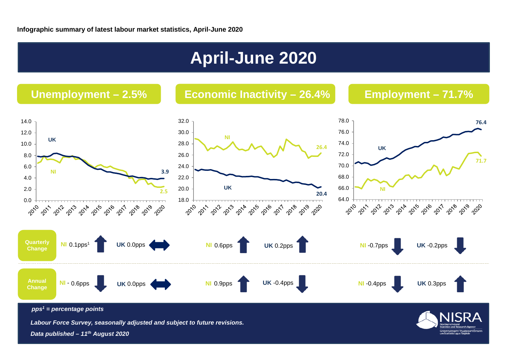## **April-June 2020**



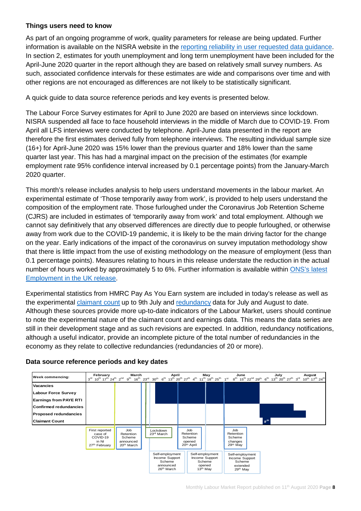#### **Things users need to know**

As part of an ongoing programme of work, quality parameters for release are being updated. Further information is available on the NISRA website in the [reporting reliability in user requested data guidance.](https://www.nisra.gov.uk/publications/labour-market-table-lookup) In section 2, estimates for youth unemployment and long term unemployment have been included for the April-June 2020 quarter in the report although they are based on relatively small survey numbers. As such, associated confidence intervals for these estimates are wide and comparisons over time and with other regions are not encouraged as differences are not likely to be statistically significant.

A quick guide to data source reference periods and key events is presented below.

The Labour Force Survey estimates for April to June 2020 are based on interviews since lockdown. NISRA suspended all face to face household interviews in the middle of March due to COVID-19. From April all LFS interviews were conducted by telephone. April-June data presented in the report are therefore the first estimates derived fully from telephone interviews. The resulting individual sample size (16+) for April-June 2020 was 15% lower than the previous quarter and 18% lower than the same quarter last year. This has had a marginal impact on the precision of the estimates (for example employment rate 95% confidence interval increased by 0.1 percentage points) from the January-March 2020 quarter.

This month's release includes analysis to help users understand movements in the labour market. An experimental estimate of 'Those temporarily away from work', is provided to help users understand the composition of the employment rate. Those furloughed under the Coronavirus Job Retention Scheme (CJRS) are included in estimates of 'temporarily away from work' and total employment. Although we cannot say definitively that any observed differences are directly due to people furloughed, or otherwise away from work due to the COVID-19 pandemic, it is likely to be the main driving factor for the change on the year. Early indications of the impact of the coronavirus on survey imputation methodology show that there is little impact from the use of existing methodology on the measure of employment (less than 0.1 percentage points). Measures relating to hours in this release understate the reduction in the actual number of hours worked by approximately 5 to 6%. Further information is available within [ONS's](https://www.ons.gov.uk/employmentandlabourmarket/peopleinwork/employmentandemployeetypes/bulletins/employmentintheuk/july2020) latest [Employment in the UK release.](https://www.ons.gov.uk/employmentandlabourmarket/peopleinwork/employmentandemployeetypes/bulletins/employmentintheuk/july2020)

Experimental statistics from HMRC Pay As You Earn system are included in today's release as well as the experimental [claimant count](https://www.nisra.gov.uk/statistics/labour-market-and-social-welfare/claimant-count) up to 9th July and [redundancy](https://www.nisra.gov.uk/statistics/labour-market-and-social-welfare/redundancies) data for July and August to date. Although these sources provide more up-to-date indicators of the Labour Market, users should continue to note the experimental nature of the claimant count and earnings data. This means the data series are still in their development stage and as such revisions are expected. In addition, redundancy notifications, although a useful indicator, provide an incomplete picture of the total number of redundancies in the economy as they relate to collective redundancies (redundancies of 20 or more).



#### **Data source reference periods and key dates**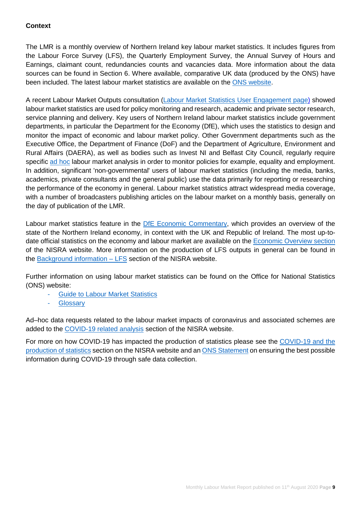#### **Context**

The LMR is a monthly overview of Northern Ireland key labour market statistics. It includes figures from the Labour Force Survey (LFS), the Quarterly Employment Survey, the Annual Survey of Hours and Earnings, claimant count, redundancies counts and vacancies data. More information about the data sources can be found in Section 6. Where available, comparative UK data (produced by the ONS) have been included. The latest labour market statistics are available on the [ONS website.](http://www.ons.gov.uk/ons/taxonomy/index.html?nscl=Labour+Market)

A recent Labour Market Outputs consultation [\(Labour Market Statistics User Engagement page\)](https://www.nisra.gov.uk/statistics/labour-market-and-social-welfare/labour-market-statistics-user-engagement) showed labour market statistics are used for policy monitoring and research, academic and private sector research, service planning and delivery. Key users of Northern Ireland labour market statistics include government departments, in particular the Department for the Economy (DfE), which uses the statistics to design and monitor the impact of economic and labour market policy. Other Government departments such as the Executive Office, the Department of Finance (DoF) and the Department of Agriculture, Environment and Rural Affairs (DAERA), as well as bodies such as Invest NI and Belfast City Council, regularly require specific [ad hoc](https://www.nisra.gov.uk/statistics/labour-market-and-social-welfare/user-requested-data) labour market analysis in order to monitor policies for example, equality and employment. In addition, significant 'non-governmental' users of labour market statistics (including the media, banks, academics, private consultants and the general public) use the data primarily for reporting or researching the performance of the economy in general. Labour market statistics attract widespread media coverage, with a number of broadcasters publishing articles on the labour market on a monthly basis, generally on the day of publication of the LMR.

Labour market statistics feature in the [DfE Economic Commentary,](https://www.economy-ni.gov.uk/publications/dfe-economic-commentary) which provides an overview of the state of the Northern Ireland economy, in context with the UK and Republic of Ireland. The most up-todate official statistics on the economy and labour market are available on the [Economic Overview section](https://www.nisra.gov.uk/statistics/nisra-economic-and-labour-market-statistics-elms/economic-overview) of the NISRA website. More information on the production of LFS outputs in general can be found in the  $\frac{\text{Background information} - \text{LFS}}{\text{section}}$  of the NISRA website.

Further information on using labour market statistics can be found on the Office for National Statistics (ONS) website:

- **[Guide to Labour Market Statistics](https://www.ons.gov.uk/employmentandlabourmarket/peopleinwork/employmentandemployeetypes/methodologies/aguidetolabourmarketstatistics)**
- **Glossary**

Ad–hoc data requests related to the labour market impacts of coronavirus and associated schemes are added to the [COVID-19 related analysis](https://www.nisra.gov.uk/statistics/labour-market-and-social-welfare/covid-19-related-analysis) section of the NISRA website.

For more on how COVID-19 has impacted the production of statistics please see the [COVID-19 and the](https://www.nisra.gov.uk/news/covid-19-and-production-statistics)  [production of statistics](https://www.nisra.gov.uk/news/covid-19-and-production-statistics) section on the NISRA website and a[n ONS Statement](https://www.ons.gov.uk/news/statementsandletters/ensuringthebestpossibleinformationduringcovid19throughsafedatacollection) on ensuring the best possible information during COVID-19 through safe data collection.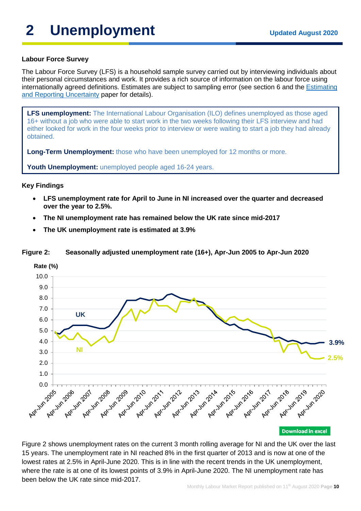## **2** Unemployment Updated August 2020

#### **Labour Force Survey**

The Labour Force Survey (LFS) is a household sample survey carried out by interviewing individuals about their personal circumstances and work. It provides a rich source of information on the labour force using internationally agreed definitions. Estimates are subject to sampling error (see section 6 and the [Estimating](https://www.nisra.gov.uk/system/files/statistics/Labour%20Force%20Survey%20-%20Estimating%20and%20reporting%20uncertainty.pdf)  [and Reporting Uncertainty](https://www.nisra.gov.uk/system/files/statistics/Labour%20Force%20Survey%20-%20Estimating%20and%20reporting%20uncertainty.pdf) paper for details).

**LFS unemployment:** The International Labour Organisation (ILO) defines unemployed as those aged 16+ without a job who were able to start work in the two weeks following their LFS interview and had either looked for work in the four weeks prior to interview or were waiting to start a job they had already obtained.

**Long-Term Unemployment:** those who have been unemployed for 12 months or more.

**Youth Unemployment:** unemployed people aged 16-24 years.

#### **Key Findings**

- **LFS unemployment rate for April to June in NI increased over the quarter and decreased over the year to 2.5%.**
- **The NI unemployment rate has remained below the UK rate since mid-2017**
- **The UK unemployment rate is estimated at 3.9%**



#### **Figure 2: Seasonally adjusted unemployment rate (16+), Apr-Jun 2005 to Apr-Jun 2020**

Figure 2 shows unemployment rates on the current 3 month rolling average for NI and the UK over the last 15 years. The unemployment rate in NI reached 8% in the first quarter of 2013 and is now at one of the lowest rates at 2.5% in April-June 2020. This is in line with the recent trends in the UK unemployment, where the rate is at one of its lowest points of 3.9% in April-June 2020. The NI unemployment rate has been below the UK rate since mid-2017.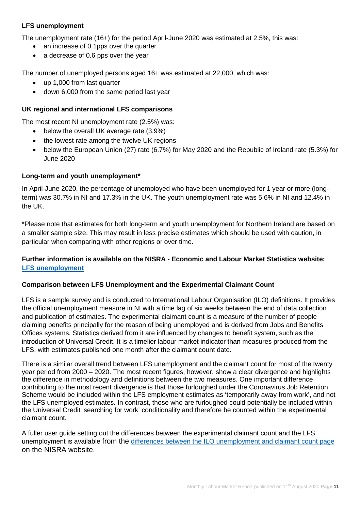#### **LFS unemployment**

The unemployment rate (16+) for the period April-June 2020 was estimated at 2.5%, this was:

- an increase of 0.1pps over the quarter
- a decrease of 0.6 pps over the year

The number of unemployed persons aged 16+ was estimated at 22,000, which was:

- up 1,000 from last quarter
- down 6,000 from the same period last year

#### **UK regional and international LFS comparisons**

The most recent NI unemployment rate (2.5%) was:

- below the overall UK average rate (3.9%)
- the lowest rate among the twelve UK regions
- below the European Union (27) rate (6.7%) for May 2020 and the Republic of Ireland rate (5.3%) for June 2020

#### **Long-term and youth unemployment\***

In April-June 2020, the percentage of unemployed who have been unemployed for 1 year or more (longterm) was 30.7% in NI and 17.3% in the UK. The youth unemployment rate was 5.6% in NI and 12.4% in the UK.

\*Please note that estimates for both long-term and youth unemployment for Northern Ireland are based on a smaller sample size. This may result in less precise estimates which should be used with caution, in particular when comparing with other regions or over time.

#### **Further information is available on the NISRA - Economic and Labour Market Statistics website: [LFS unemployment](https://www.nisra.gov.uk/statistics/labour-market-and-social-welfare/labour-force-survey)**

#### **Comparison between LFS Unemployment and the Experimental Claimant Count**

LFS is a sample survey and is conducted to International Labour Organisation (ILO) definitions. It provides the official unemployment measure in NI with a time lag of six weeks between the end of data collection and publication of estimates. The experimental claimant count is a measure of the number of people claiming benefits principally for the reason of being unemployed and is derived from Jobs and Benefits Offices systems. Statistics derived from it are influenced by changes to benefit system, such as the introduction of Universal Credit. It is a timelier labour market indicator than measures produced from the LFS, with estimates published one month after the claimant count date.

There is a similar overall trend between LFS unemployment and the claimant count for most of the twenty year period from 2000 – 2020. The most recent figures, however, show a clear divergence and highlights the difference in methodology and definitions between the two measures. One important difference contributing to the most recent divergence is that those furloughed under the Coronavirus Job Retention Scheme would be included within the LFS employment estimates as 'temporarily away from work', and not the LFS unemployed estimates. In contrast, those who are furloughed could potentially be included within the Universal Credit 'searching for work' conditionality and therefore be counted within the experimental claimant count.

A fuller user guide setting out the differences between the experimental claimant count and the LFS unemployment is available [from](https://www.nisra.gov.uk/publications/differences-between-ilo-unemployment-and-claimant-count) the [differences between the ILO unemployment and claimant count page](https://www.nisra.gov.uk/publications/differences-between-ilo-unemployment-and-claimant-count) on the NISRA website.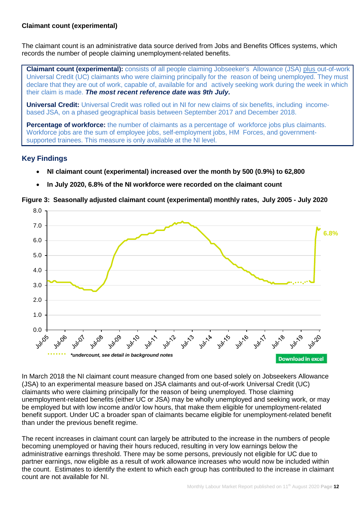#### **Claimant count (experimental)**

The claimant count is an administrative data source derived from Jobs and Benefits Offices systems, which records the number of people claiming unemployment-related benefits.

**Claimant count (experimental):** consists of all people claiming Jobseeker's Allowance (JSA) plus out-of-work Universal Credit (UC) claimants who were claiming principally for the reason of being unemployed. They must declare that they are out of work, capable of, available for and actively seeking work during the week in which their claim is made. *The most recent reference date was 9th July.*

**Universal Credit:** Universal Credit was rolled out in NI for new claims of six benefits, including incomebased JSA, on a phased geographical basis between September 2017 and December 2018.

**Percentage of workforce:** the number of claimants as a percentage of workforce jobs plus claimants. Workforce jobs are the sum of employee jobs, self-employment jobs, HM Forces, and governmentsupported trainees. This measure is only available at the NI level.

#### **Key Findings**

- **NI claimant count (experimental) increased over the month by 500 (0.9%) to 62,800**
- **In July 2020, 6.8% of the NI workforce were recorded on the claimant count**

**Figure 3: Seasonally adjusted claimant count (experimental) monthly rates, July 2005 - July 2020**



In March 2018 the NI claimant count measure changed from one based solely on Jobseekers Allowance (JSA) to an experimental measure based on JSA claimants and out-of-work Universal Credit (UC) claimants who were claiming principally for the reason of being unemployed. Those claiming unemployment-related benefits (either UC or JSA) may be wholly unemployed and seeking work, or may be employed but with low income and/or low hours, that make them eligible for unemployment-related benefit support. Under UC a broader span of claimants became eligible for unemployment-related benefit than under the previous benefit regime.

The recent increases in claimant count can largely be attributed to the increase in the numbers of people becoming unemployed or having their hours reduced, resulting in very low earnings below the administrative earnings threshold. There may be some persons, previously not eligible for UC due to partner earnings, now eligible as a result of work allowance increases who would now be included within the count. Estimates to identify the extent to which each group has contributed to the increase in claimant count are not available for NI.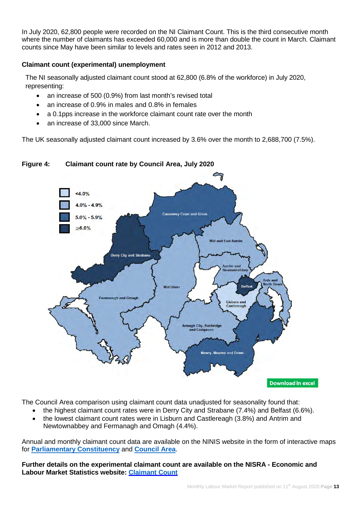In July 2020, 62,800 people were recorded on the NI Claimant Count. This is the third consecutive month where the number of claimants has exceeded 60,000 and is more than double the count in March. Claimant counts since May have been similar to levels and rates seen in 2012 and 2013.

#### **Claimant count (experimental) unemployment**

The NI seasonally adjusted claimant count stood at 62,800 (6.8% of the workforce) in July 2020, representing:

- an increase of 500 (0.9%) from last month's revised total
- an increase of 0.9% in males and 0.8% in females
- a 0.1pps increase in the workforce claimant count rate over the month
- an increase of 33,000 since March.

The UK seasonally adjusted claimant count increased by 3.6% over the month to 2,688,700 (7.5%).



### **Figure 4: Claimant count rate by Council Area, July 2020**

The Council Area comparison using claimant count data unadjusted for seasonality found that:

- the highest claimant count rates were in Derry City and Strabane (7.4%) and Belfast (6.6%).
- the lowest claimant count rates were in Lisburn and Castlereagh (3.8%) and Antrim and Newtownabbey and Fermanagh and Omagh (4.4%).

Annual and monthly claimant count data are available on the NINIS website in the form of interactive maps for **[Parliamentary Constituency](https://www.ninis2.nisra.gov.uk/InteractiveMaps/Labour%20Market/Claimant%20Count%20Monthly%20Averages%20AA/atlas.html)** and **[Council Area](http://www.ninis2.nisra.gov.uk/InteractiveMaps/Labour%20Market/Claimant%20Count%20Monthly%20Averages%20LGD2014/atlas.html)**.

**Further details on the experimental claimant count are available on the NISRA - Economic and Labour Market Statistics website: [Claimant](https://www.nisra.gov.uk/statistics/labour-market-and-social-welfare/claimant-count) Count**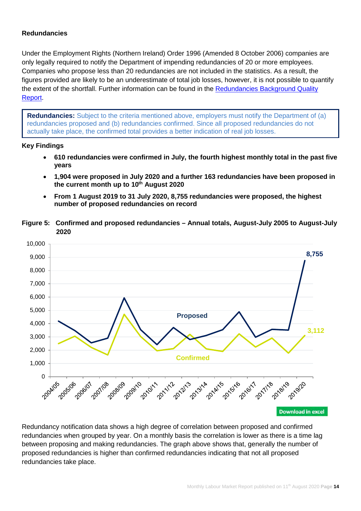#### **Redundancies**

Under the Employment Rights (Northern Ireland) Order 1996 (Amended 8 October 2006) companies are only legally required to notify the Department of impending redundancies of 20 or more employees. Companies who propose less than 20 redundancies are not included in the statistics. As a result, the figures provided are likely to be an underestimate of total job losses, however, it is not possible to quantify the extent of the shortfall. Further information can be found in the [Redundancies Background Quality](https://www.nisra.gov.uk/sites/nisra.gov.uk/files/publications/Redundancy-Background-Quality-Report-2020.pdf)  [Report.](https://www.nisra.gov.uk/sites/nisra.gov.uk/files/publications/Redundancy-Background-Quality-Report-2020.pdf)

**Redundancies:** Subject to the criteria mentioned above, employers must notify the Department of (a) redundancies proposed and (b) redundancies confirmed. Since all proposed redundancies do not actually take place, the confirmed total provides a better indication of real job losses.

#### **Key Findings**

- **610 redundancies were confirmed in July, the fourth highest monthly total in the past five years**
- **1,904 were proposed in July 2020 and a further 163 redundancies have been proposed in the current month up to 10th August 2020**
- **From 1 August 2019 to 31 July 2020, 8,755 redundancies were proposed, the highest number of proposed redundancies on record**
- **Figure 5: Confirmed and proposed redundancies Annual totals, August-July 2005 to August-July 2020**



Redundancy notification data shows a high degree of correlation between proposed and confirmed redundancies when grouped by year. On a monthly basis the correlation is lower as there is a time lag between proposing and making redundancies. The graph above shows that, generally the number of proposed redundancies is higher than confirmed redundancies indicating that not all proposed redundancies take place.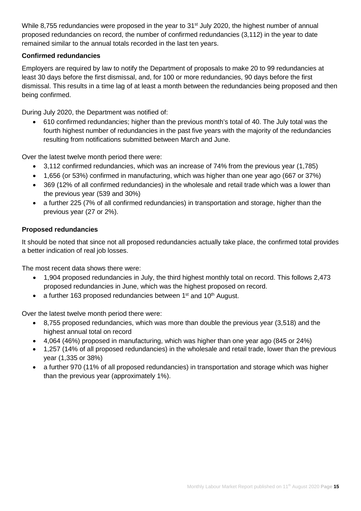While 8,755 redundancies were proposed in the year to 31<sup>st</sup> July 2020, the highest number of annual proposed redundancies on record, the number of confirmed redundancies (3,112) in the year to date remained similar to the annual totals recorded in the last ten years.

### **Confirmed redundancies**

Employers are required by law to notify the Department of proposals to make 20 to 99 redundancies at least 30 days before the first dismissal, and, for 100 or more redundancies, 90 days before the first dismissal. This results in a time lag of at least a month between the redundancies being proposed and then being confirmed.

During July 2020, the Department was notified of:

• 610 confirmed redundancies; higher than the previous month's total of 40. The July total was the fourth highest number of redundancies in the past five years with the majority of the redundancies resulting from notifications submitted between March and June.

Over the latest twelve month period there were:

- 3,112 confirmed redundancies, which was an increase of 74% from the previous year (1,785)
- 1,656 (or 53%) confirmed in manufacturing, which was higher than one year ago (667 or 37%)
- 369 (12% of all confirmed redundancies) in the wholesale and retail trade which was a lower than the previous year (539 and 30%)
- a further 225 (7% of all confirmed redundancies) in transportation and storage, higher than the previous year (27 or 2%).

#### **Proposed redundancies**

It should be noted that since not all proposed redundancies actually take place, the confirmed total provides a better indication of real job losses.

The most recent data shows there were:

- 1,904 proposed redundancies in July, the third highest monthly total on record. This follows 2,473 proposed redundancies in June, which was the highest proposed on record.
- a further 163 proposed redundancies between  $1<sup>st</sup>$  and  $10<sup>th</sup>$  August.

Over the latest twelve month period there were:

- 8,755 proposed redundancies, which was more than double the previous year (3,518) and the highest annual total on record
- 4,064 (46%) proposed in manufacturing, which was higher than one year ago (845 or 24%)
- 1,257 (14% of all proposed redundancies) in the wholesale and retail trade, lower than the previous year (1,335 or 38%)
- a further 970 (11% of all proposed redundancies) in transportation and storage which was higher than the previous year (approximately 1%).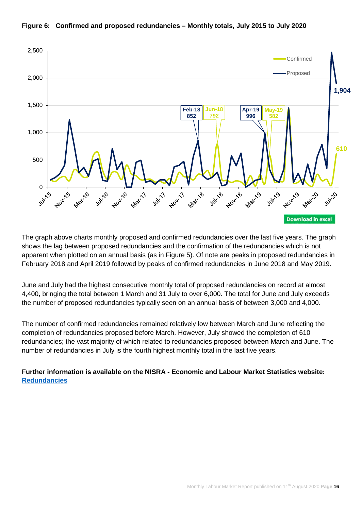



The graph above charts monthly proposed and confirmed redundancies over the last five years. The graph shows the lag between proposed redundancies and the confirmation of the redundancies which is not apparent when plotted on an annual basis (as in Figure 5). Of note are peaks in proposed redundancies in February 2018 and April 2019 followed by peaks of confirmed redundancies in June 2018 and May 2019.

June and July had the highest consecutive monthly total of proposed redundancies on record at almost 4,400, bringing the total between 1 March and 31 July to over 6,000. The total for June and July exceeds the number of proposed redundancies typically seen on an annual basis of between 3,000 and 4,000.

The number of confirmed redundancies remained relatively low between March and June reflecting the completion of redundancies proposed before March. However, July showed the completion of 610 redundancies; the vast majority of which related to redundancies proposed between March and June. The number of redundancies in July is the fourth highest monthly total in the last five years.

**Further information is available on the NISRA - Economic and Labour Market Statistics website: [Redundancies](https://www.nisra.gov.uk/statistics/labour-market-and-social-welfare/redundancies)**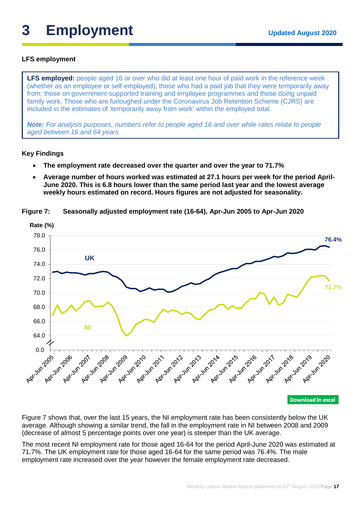## **3 Employment Updated August <sup>2020</sup>**

#### **LFS employment**

**LFS employed:** people aged 16 or over who did at least one hour of paid work in the reference week (whether as an employee or self-employed); those who had a paid job that they were temporarily away from; those on government-supported training and employee programmes and those doing unpaid family work. Those who are furloughed under the Coronavirus Job Retention Scheme (CJRS) are included in the estimates of 'temporarily away from work' within the employed total.

*Note: For analysis purposes, numbers refer to people aged 16 and over while rates relate to people aged between 16 and 64 years*

#### **Key Findings**

- **The employment rate decreased over the quarter and over the year to 71.7%**
- **Average number of hours worked was estimated at 27.1 hours per week for the period April-June 2020. This is 6.8 hours lower than the same period last year and the lowest average weekly hours estimated on record. Hours figures are not adjusted for seasonality.**



**Figure 7: Seasonally adjusted employment rate (16-64), Apr-Jun 2005 to Apr-Jun 2020**

Figure 7 shows that, over the last 15 years, the NI employment rate has been consistently below the UK average. Although showing a similar trend, the fall in the employment rate in NI between 2008 and 2009 (decrease of almost 5 percentage points over one year) is steeper than the UK average.

The most recent NI employment rate for those aged 16-64 for the period April-June 2020 was estimated at 71.7%. The UK employment rate for those aged 16-64 for the same period was 76.4%. The male employment rate increased over the year however the female employment rate decreased.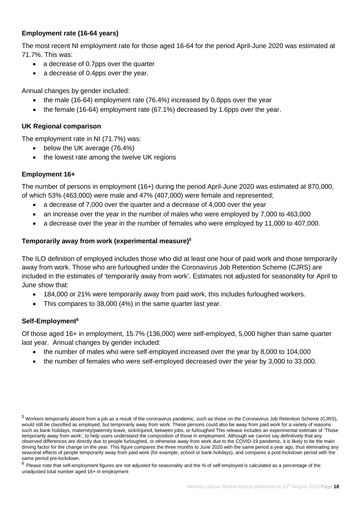#### **Employment rate (16-64 years)**

The most recent NI employment rate for those aged 16-64 for the period April-June 2020 was estimated at 71.7%. This was:

- a decrease of 0.7pps over the quarter
- a decrease of 0.4pps over the year.

Annual changes by gender included:

- the male (16-64) employment rate (76.4%) increased by 0.8pps over the year
- the female (16-64) employment rate (67.1%) decreased by 1.6pps over the year.

#### **UK Regional comparison**

The employment rate in NI (71.7%) was:

- below the UK average (76.4%)
- the lowest rate among the twelve UK regions

#### **Employment 16+**

The number of persons in employment (16+) during the period April-June 2020 was estimated at 870,000, of which 53% (463,000) were male and 47% (407,000) were female and represented;

- a decrease of 7,000 over the quarter and a decrease of 4,000 over the year
- an increase over the year in the number of males who were employed by 7,000 to 463,000
- a decrease over the year in the number of females who were employed by 11,000 to 407,000.

#### **Temporarily away from work (experimental measure)5**

The ILO definition of employed includes those who did at least one hour of paid work and those temporarily away from work. Those who are furloughed under the Coronavirus Job Retention Scheme (CJRS) are included in the estimates of 'temporarily away from work'. Estimates not adjusted for seasonality for April to June show that:

- 184,000 or 21% were temporarily away from paid work, this includes furloughed workers.
- This compares to 38,000 (4%) in the same quarter last year.

#### **Self-Employment6**

Of those aged 16+ in employment, 15.7% (136,000) were self-employed, 5,000 higher than same quarter last year. Annual changes by gender included:

- the number of males who were self-employed increased over the year by 8,000 to 104,000
- the number of females who were self-employed decreased over the year by 3,000 to 33,000.

 $6$  Please note that self-employment figures are not adjusted for seasonality and the % of self-employed is calculated as a percentage of the unadjusted total number aged 16+ in employment

<sup>5</sup> Workers temporarily absent from a job as a result of the coronavirus pandemic, such as those on the Coronavirus Job Retention Scheme (CJRS), would still be classified as employed, but temporarily away from work. These persons could also be away from paid work for a variety of reasons such as bank holidays, maternity/paternity leave, sick/injured, between jobs, or furloughed This release includes an experimental estimate of 'Those temporarily away from work', to help users understand the composition of those in employment. Although we cannot say definitively that any observed differences are directly due to people furloughed, or otherwise away from work due to the COVID-19 pandemic, it is likely to be the main driving factor for the change on the year. This figure compares the three months to June 2020 with the same period a year ago, thus eliminating any seasonal effects of people temporarily away from paid work (for example, school or bank holidays), and compares a post-lockdown period with the same period pre-lockdown.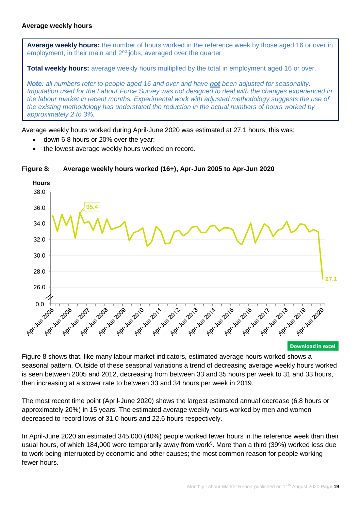#### **Average weekly hours**

**Average weekly hours:** the number of hours worked in the reference week by those aged 16 or over in employment, in their main and 2<sup>nd</sup> jobs, averaged over the quarter

**Total weekly hours:** average weekly hours multiplied by the total in employment aged 16 or over.

*Note: all numbers refer to people aged 16 and over and have not been adjusted for seasonality. Imputation used for the Labour Force Survey was not designed to deal with the changes experienced in the labour market in recent months. Experimental work with adjusted methodology suggests the use of the existing methodology has understated the reduction in the actual numbers of hours worked by approximately 2 to 3%.*

Average weekly hours worked during April-June 2020 was estimated at 27.1 hours, this was:

- down 6.8 hours or 20% over the year;
- the lowest average weekly hours worked on record.



#### **Figure 8: Average weekly hours worked (16+), Apr-Jun 2005 to Apr-Jun 2020**

Figure 8 shows that, like many labour market indicators, estimated average hours worked shows a seasonal pattern. Outside of these seasonal variations a trend of decreasing average weekly hours worked is seen between 2005 and 2012, decreasing from between 33 and 35 hours per week to 31 and 33 hours, then increasing at a slower rate to between 33 and 34 hours per week in 2019.

The most recent time point (April-June 2020) shows the largest estimated annual decrease (6.8 hours or approximately 20%) in 15 years. The estimated average weekly hours worked by men and women decreased to record lows of 31.0 hours and 22.6 hours respectively.

In April-June 2020 an estimated 345,000 (40%) people worked fewer hours in the reference week than their usual hours, of which 184,000 were temporarily away from work<sup>5</sup>. More than a third (39%) worked less due to work being interrupted by economic and other causes; the most common reason for people working fewer hours.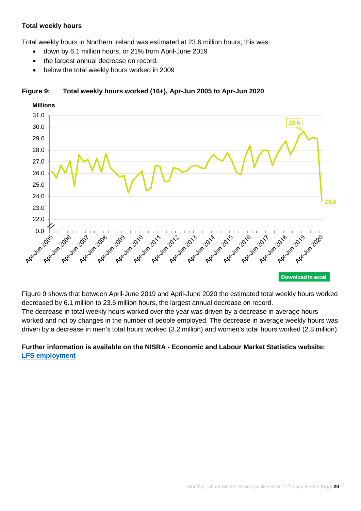#### **Total weekly hours**

Total weekly hours in Northern Ireland was estimated at 23.6 million hours, this was:

- down by 6.1 million hours, or 21% from April-June 2019
- the largest annual decrease on record.
- below the total weekly hours worked in 2009



#### **Figure 9: Total weekly hours worked (16+), Apr-Jun 2005 to Apr-Jun 2020**

Figure 9 shows that between April-June 2019 and April-June 2020 the estimated total weekly hours worked decreased by 6.1 million to 23.6 million hours, the largest annual decrease on record.

The decrease in total weekly hours worked over the year was driven by a decrease in average hours worked and not by changes in the number of people employed. The decrease in average weekly hours was driven by a decrease in men's total hours worked (3.2 million) and women's total hours worked (2.8 million).

### **Further information is available on the NISRA - Economic and Labour Market Statistics website: LFS [employment](https://www.nisra.gov.uk/statistics/labour-market-and-social-welfare/labour-force-survey)**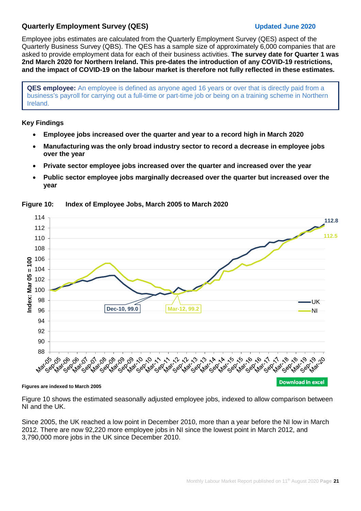#### **Quarterly Employment Survey (QES) Updated June 2020**

Employee jobs estimates are calculated from the Quarterly Employment Survey (QES) aspect of the Quarterly Business Survey (QBS). The QES has a sample size of approximately 6,000 companies that are asked to provide employment data for each of their business activities. **The survey date for Quarter 1 was 2nd March 2020 for Northern Ireland. This pre-dates the introduction of any COVID-19 restrictions, and the impact of COVID-19 on the labour market is therefore not fully reflected in these estimates.** 

**QES employee:** An employee is defined as anyone aged 16 years or over that is directly paid from a business's payroll for carrying out a full-time or part-time job or being on a training scheme in Northern Ireland.

#### **Key Findings**

- **Employee jobs increased over the quarter and year to a record high in March 2020**
- **Manufacturing was the only broad industry sector to record a decrease in employee jobs over the year**
- **Private sector employee jobs increased over the quarter and increased over the year**
- **Public sector employee jobs marginally decreased over the quarter but increased over the year**



**Figure 10: Index of Employee Jobs, March 2005 to March 2020** 

#### **Figures are indexed to March 2005**

Figure 10 shows the estimated seasonally adjusted employee jobs, indexed to allow comparison between NI and the UK.

Since 2005, the UK reached a low point in December 2010, more than a year before the NI low in March 2012. There are now 92,220 more employee jobs in NI since the lowest point in March 2012, and 3,790,000 more jobs in the UK since December 2010.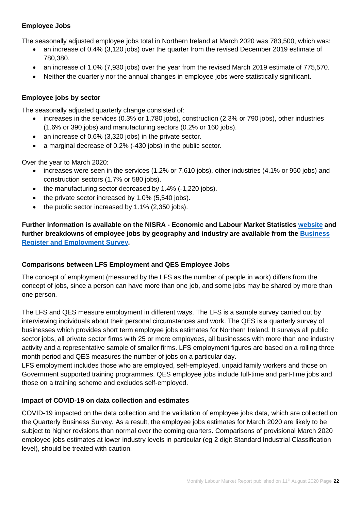#### **Employee Jobs**

The seasonally adjusted employee jobs total in Northern Ireland at March 2020 was 783,500, which was:

- an increase of 0.4% (3,120 jobs) over the quarter from the revised December 2019 estimate of 780,380.
- an increase of 1.0% (7,930 jobs) over the year from the revised March 2019 estimate of 775,570.
- Neither the quarterly nor the annual changes in employee jobs were statistically significant.

#### **Employee jobs by sector**

The seasonally adjusted quarterly change consisted of:

- increases in the services (0.3% or 1,780 jobs), construction (2.3% or 790 jobs), other industries (1.6% or 390 jobs) and manufacturing sectors (0.2% or 160 jobs).
- an increase of 0.6% (3,320 jobs) in the private sector.
- a marginal decrease of 0.2% (-430 jobs) in the public sector.

Over the year to March 2020:

- increases were seen in the services (1.2% or 7,610 jobs), other industries (4.1% or 950 jobs) and construction sectors (1.7% or 580 jobs).
- the manufacturing sector decreased by 1.4% (-1,220 jobs).
- the private sector increased by 1.0% (5,540 jobs).
- the public sector increased by 1.1% (2,350 jobs).

**Further information is available on the NISRA - Economic and Labour Market Statistics [website](https://www.nisra.gov.uk/statistics/labour-market-and-social-welfare/quarterly-employment-survey) and further breakdowns of employee jobs by geography and industry are available from the [Business](https://www.nisra.gov.uk/statistics/annual-employee-jobs-surveys/business-register-and-employment-survey)  [Register and Employment Survey.](https://www.nisra.gov.uk/statistics/annual-employee-jobs-surveys/business-register-and-employment-survey)** 

#### **Comparisons between LFS Employment and QES Employee Jobs**

The concept of employment (measured by the LFS as the number of people in work) differs from the concept of jobs, since a person can have more than one job, and some jobs may be shared by more than one person.

The LFS and QES measure employment in different ways. The LFS is a sample survey carried out by interviewing individuals about their personal circumstances and work. The QES is a quarterly survey of businesses which provides short term employee jobs estimates for Northern Ireland. It surveys all public sector jobs, all private sector firms with 25 or more employees, all businesses with more than one industry activity and a representative sample of smaller firms. LFS employment figures are based on a rolling three month period and QES measures the number of jobs on a particular day.

LFS employment includes those who are employed, self-employed, unpaid family workers and those on Government supported training programmes. QES employee jobs include full-time and part-time jobs and those on a training scheme and excludes self-employed.

#### **Impact of COVID-19 on data collection and estimates**

COVID-19 impacted on the data collection and the validation of employee jobs data, which are collected on the Quarterly Business Survey. As a result, the employee jobs estimates for March 2020 are likely to be subject to higher revisions than normal over the coming quarters. Comparisons of provisional March 2020 employee jobs estimates at lower industry levels in particular (eg 2 digit Standard Industrial Classification level), should be treated with caution.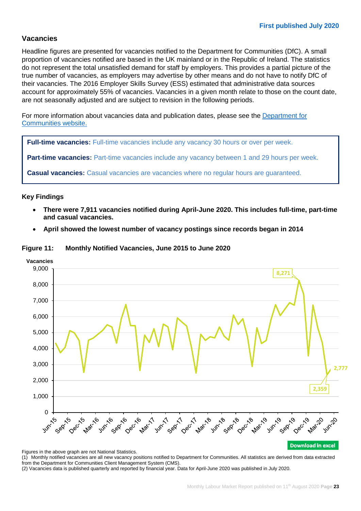#### **Vacancies**

Headline figures are presented for vacancies notified to the Department for Communities (DfC). A small proportion of vacancies notified are based in the UK mainland or in the Republic of Ireland. The statistics do not represent the total unsatisfied demand for staff by employers. This provides a partial picture of the true number of vacancies, as employers may advertise by other means and do not have to notify DfC of their vacancies. The 2016 Employer Skills Survey (ESS) estimated that administrative data sources account for approximately 55% of vacancies. Vacancies in a given month relate to those on the count date, are not seasonally adjusted and are subject to revision in the following periods.

For more information about vacancies data and publication dates, please see the [Department for](https://www.communities-ni.gov.uk/topics/statistics-and-research/labour-market-information)  [Communities website.](https://www.communities-ni.gov.uk/topics/statistics-and-research/labour-market-information)

**Full-time vacancies:** Full-time vacancies include any vacancy 30 hours or over per week.

**Part-time vacancies:** Part-time vacancies include any vacancy between 1 and 29 hours per week.

**Casual vacancies:** Casual vacancies are vacancies where no regular hours are guaranteed.

#### **Key Findings**

- **There were 7,911 vacancies notified during April-June 2020. This includes full-time, part-time and casual vacancies.**
- **April showed the lowest number of vacancy postings since records began in 2014**





Figures in the above graph are not National Statistics.

(1) Monthly notified vacancies are all new vacancy positions notified to Department for Communities. All statistics are derived from data extracted from the Department for Communities Client Management System (CMS).

(2) Vacancies data is published quarterly and reported by financial year. Data for April-June 2020 was published in July 2020.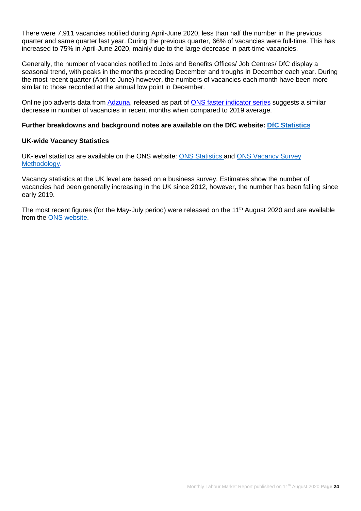There were 7,911 vacancies notified during April-June 2020, less than half the number in the previous quarter and same quarter last year. During the previous quarter, 66% of vacancies were full-time. This has increased to 75% in April-June 2020, mainly due to the large decrease in part-time vacancies.

Generally, the number of vacancies notified to Jobs and Benefits Offices/ Job Centres/ DfC display a seasonal trend, with peaks in the months preceding December and troughs in December each year. During the most recent quarter (April to June) however, the numbers of vacancies each month have been more similar to those recorded at the annual low point in December.

Online job adverts data from [Adzuna,](https://www.adzuna.co.uk/) released as part of [ONS faster indicator series](https://www.ons.gov.uk/peoplepopulationandcommunity/healthandsocialcare/conditionsanddiseases/bulletins/coronavirustheukeconomyandsocietyfasterindicators/06august2020#online-job-adverts) suggests a similar decrease in number of vacancies in recent months when compared to 2019 average.

#### **Further breakdowns and background notes are available on the DfC website: [DfC Statistics](https://www.communities-ni.gov.uk/topics/labour-market-information)**

#### **UK-wide Vacancy Statistics**

UK-level statistics are available on the ONS website: [ONS Statistics](https://www.ons.gov.uk/employmentandlabourmarket/peopleinwork/employmentandemployeetypes/bulletins/jobsandvacanciesintheuk/latest) and [ONS Vacancy Survey](https://www.ons.gov.uk/surveys/informationforbusinesses/businesssurveys/vacancysurvey)  [Methodology.](https://www.ons.gov.uk/surveys/informationforbusinesses/businesssurveys/vacancysurvey)

Vacancy statistics at the UK level are based on a business survey. Estimates show the number of vacancies had been generally increasing in the UK since 2012, however, the number has been falling since early 2019.

The most recent figures (for the May-July period) were released on the 11<sup>th</sup> August 2020 and are available from the [ONS website.](https://www.ons.gov.uk/employmentandlabourmarket/peopleinwork/employmentandemployeetypes/bulletins/jobsandvacanciesintheuk/latest)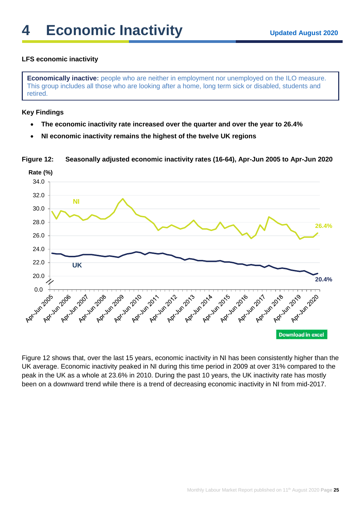#### **LFS economic inactivity**

**Economically inactive:** people who are neither in employment nor unemployed on the ILO measure. This group includes all those who are looking after a home, long term sick or disabled, students and retired.

#### **Key Findings**

- **The economic inactivity rate increased over the quarter and over the year to 26.4%**
- **NI economic inactivity remains the highest of the twelve UK regions**

**Figure 12: Seasonally adjusted economic inactivity rates (16-64), Apr-Jun 2005 to Apr-Jun 2020**



Figure 12 shows that, over the last 15 years, economic inactivity in NI has been consistently higher than the UK average. Economic inactivity peaked in NI during this time period in 2009 at over 31% compared to the peak in the UK as a whole at 23.6% in 2010. During the past 10 years, the UK inactivity rate has mostly been on a downward trend while there is a trend of decreasing economic inactivity in NI from mid-2017.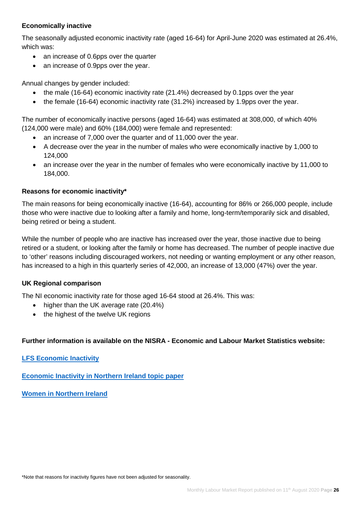#### **Economically inactive**

The seasonally adjusted economic inactivity rate (aged 16-64) for April-June 2020 was estimated at 26.4%, which was:

- an increase of 0.6pps over the quarter
- an increase of 0.9pps over the year.

Annual changes by gender included:

- the male (16-64) economic inactivity rate (21.4%) decreased by 0.1pps over the year
- the female (16-64) economic inactivity rate (31.2%) increased by 1.9pps over the year.

The number of economically inactive persons (aged 16-64) was estimated at 308,000, of which 40% (124,000 were male) and 60% (184,000) were female and represented:

- an increase of 7,000 over the quarter and of 11,000 over the year.
- A decrease over the year in the number of males who were economically inactive by 1,000 to 124,000
- an increase over the year in the number of females who were economically inactive by 11,000 to 184,000.

#### **Reasons for economic inactivity\***

The main reasons for being economically inactive (16-64), accounting for 86% or 266,000 people, include those who were inactive due to looking after a family and home, long-term/temporarily sick and disabled, being retired or being a student.

While the number of people who are inactive has increased over the year, those inactive due to being retired or a student, or looking after the family or home has decreased. The number of people inactive due to 'other' reasons including discouraged workers, not needing or wanting employment or any other reason, has increased to a high in this quarterly series of 42,000, an increase of 13,000 (47%) over the year.

#### **UK Regional comparison**

The NI economic inactivity rate for those aged 16-64 stood at 26.4%. This was:

- higher than the UK average rate (20.4%)
- the highest of the twelve UK regions

#### **Further information is available on the NISRA - Economic and Labour Market Statistics website:**

**[LFS Economic Inactivity](https://www.nisra.gov.uk/statistics/labour-market-and-social-welfare/labour-force-survey)**

**[Economic Inactivity in Northern Ireland topic](https://www.nisra.gov.uk/news/economic-inactivity-northern-ireland) paper**

**[Women in Northern Ireland](https://www.nisra.gov.uk/labour-force-survey-women-northern-ireland-2020)**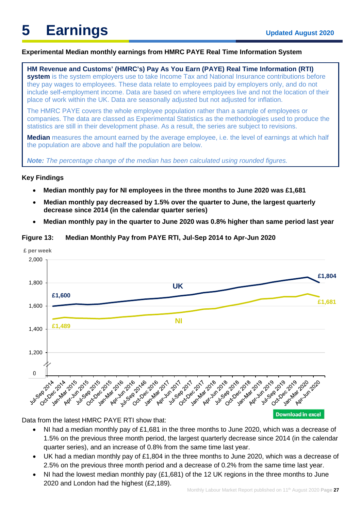#### **Experimental Median monthly earnings from HMRC PAYE Real Time Information System**

**HM Revenue and Customs' (HMRC's) Pay As You Earn (PAYE) Real Time Information (RTI) system** is the system employers use to take Income Tax and National Insurance contributions before they pay wages to employees. These data relate to employees paid by employers only, and do not include self-employment income. Data are based on where employees live and not the location of their place of work within the UK. Data are seasonally adjusted but not adjusted for inflation.

The HMRC PAYE covers the whole employee population rather than a sample of employees or companies. The data are classed as [Experimental Statistics](https://www.ons.gov.uk/methodology/methodologytopicsandstatisticalconcepts/guidetoexperimentalstatistics) as the methodologies used to produce the statistics are still in their development phase. As a result, the series are subject to revisions.

**Median** measures the amount earned by the average employee, i.e. the level of earnings at which half the population are above and half the population are below.

*Note: The percentage change of the median has been calculated using rounded figures.* 

#### **Key Findings**

- **Median monthly pay for NI employees in the three months to June 2020 was £1,681**
- **Median monthly pay decreased by 1.5% over the quarter to June, the largest quarterly decrease since 2014 (in the calendar quarter series)**
- **Median monthly pay in the quarter to June 2020 was 0.8% higher than same period last year**

#### **Figure 13: Median Monthly Pay from PAYE RTI, Jul-Sep 2014 to Apr-Jun 2020**



Data from the latest HMRC PAYE RTI show that:

- NI had a median monthly pay of £1,681 in the three months to June 2020, which was a decrease of 1.5% on the previous three month period, the largest quarterly decrease since 2014 (in the calendar quarter series), and an increase of 0.8% from the same time last year.
- UK had a median monthly pay of £1,804 in the three months to June 2020, which was a decrease of 2.5% on the previous three month period and a decrease of 0.2% from the same time last year.
- NI had the lowest median monthly pay (£1,681) of the 12 UK regions in the three months to June 2020 and London had the highest (£2,189).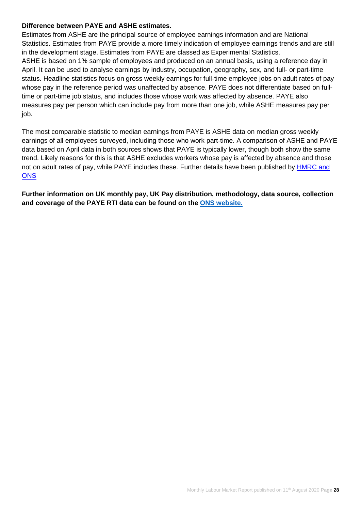#### **Difference between PAYE and ASHE estimates.**

Estimates from ASHE are the principal source of employee earnings information and are National Statistics. Estimates from PAYE provide a more timely indication of employee earnings trends and are still in the development stage. Estimates from PAYE are classed as Experimental Statistics. ASHE is based on 1% sample of employees and produced on an annual basis, using a reference day in April. It can be used to analyse earnings by industry, occupation, geography, sex, and full- or part-time status. Headline statistics focus on gross weekly earnings for full-time employee jobs on adult rates of pay whose pay in the reference period was unaffected by absence. PAYE does not differentiate based on fulltime or part-time job status, and includes those whose work was affected by absence. PAYE also measures pay per person which can include pay from more than one job, while ASHE measures pay per job.

The most comparable statistic to median earnings from PAYE is ASHE data on median gross weekly earnings of all employees surveyed, including those who work part-time. A comparison of ASHE and PAYE data based on April data in both sources shows that PAYE is typically lower, though both show the same trend. Likely reasons for this is that ASHE excludes workers whose pay is affected by absence and those not on adult rates of pay, while PAYE includes these. Further details have been published by [HMRC and](https://www.ons.gov.uk/employmentandlabourmarket/peopleinwork/earningsandworkinghours/articles/newmethodsformonthlyearningsandemploymentestimatesfrompayasyouearnrealtimeinformationpayertidata/december2019)  **ONS** 

**Further information on UK monthly pay, UK Pay distribution, methodology, data source, collection and coverage of the PAYE RTI data can be found on the [ONS website.](https://www.ons.gov.uk/employmentandlabourmarket/peopleinwork/earningsandworkinghours/bulletins/earningsandemploymentfrompayasyouearnrealtimeinformationuk/august2020)**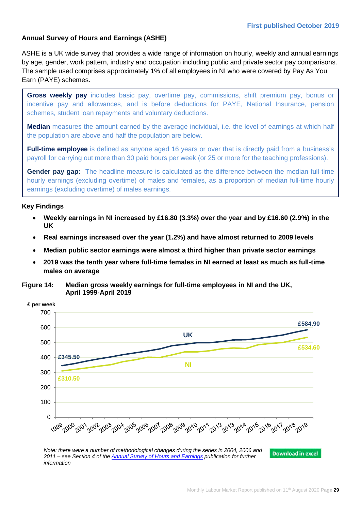#### **Annual Survey of Hours and Earnings (ASHE)**

ASHE is a UK wide survey that provides a wide range of information on hourly, weekly and annual earnings by age, gender, work pattern, industry and occupation including public and private sector pay comparisons. The sample used comprises approximately 1% of all employees in NI who were covered by Pay As You Earn (PAYE) schemes.

**Gross weekly pay** includes basic pay, overtime pay, commissions, shift premium pay, bonus or incentive pay and allowances, and is before deductions for PAYE, National Insurance, pension schemes, student loan repayments and voluntary deductions.

**Median** measures the amount earned by the average individual, i.e. the level of earnings at which half the population are above and half the population are below.

**Full-time employee** is defined as anyone aged 16 years or over that is directly paid from a business's payroll for carrying out more than 30 paid hours per week (or 25 or more for the teaching professions).

**Gender pay gap:** The headline measure is calculated as the difference between the median full-time hourly earnings (excluding overtime) of males and females, as a proportion of median full-time hourly earnings (excluding overtime) of males earnings.

#### **Key Findings**

- **Weekly earnings in NI increased by £16.80 (3.3%) over the year and by £16.60 (2.9%) in the UK**
- **Real earnings increased over the year (1.2%) and have almost returned to 2009 levels**
- **Median public sector earnings were almost a third higher than private sector earnings**
- **2019 was the tenth year where full-time females in NI earned at least as much as full-time males on average**

**Figure 14: Median gross weekly earnings for full-time employees in NI and the UK, April 1999-April 2019**



*Note: there were a number of methodological changes during the series in 2004, 2006 and 2011 – see Section 4 of the [Annual Survey of Hours and Earnings](https://www.nisra.gov.uk/system/files/statistics/NI-ASHE-Bulletin-2019.PDF) publication for further information*

Monthly Labour Market Report published on 11<sup>th</sup> August 2020 **Page 29**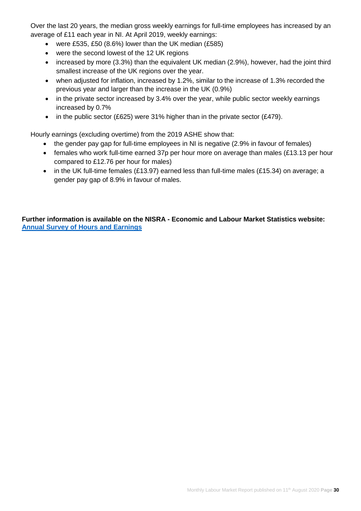Over the last 20 years, the median gross weekly earnings for full-time employees has increased by an average of £11 each year in NI. At April 2019, weekly earnings:

- were £535, £50 (8.6%) lower than the UK median (£585)
- were the second lowest of the 12 UK regions
- increased by more (3.3%) than the equivalent UK median (2.9%), however, had the joint third smallest increase of the UK regions over the year.
- when adjusted for inflation, increased by 1.2%, similar to the increase of 1.3% recorded the previous year and larger than the increase in the UK (0.9%)
- in the private sector increased by 3.4% over the year, while public sector weekly earnings increased by 0.7%
- in the public sector (£625) were 31% higher than in the private sector (£479).

Hourly earnings (excluding overtime) from the 2019 ASHE show that:

- the gender pay gap for full-time employees in NI is negative (2.9% in favour of females)
- females who work full-time earned 37p per hour more on average than males (£13.13 per hour compared to £12.76 per hour for males)
- in the UK full-time females (£13.97) earned less than full-time males (£15.34) on average; a gender pay gap of 8.9% in favour of males.

**Further information is available on the NISRA - Economic and Labour Market Statistics website: [Annual Survey of Hours and Earnings](https://www.nisra.gov.uk/statistics/labour-market-and-social-welfare/annual-survey-hours-and-earnings)**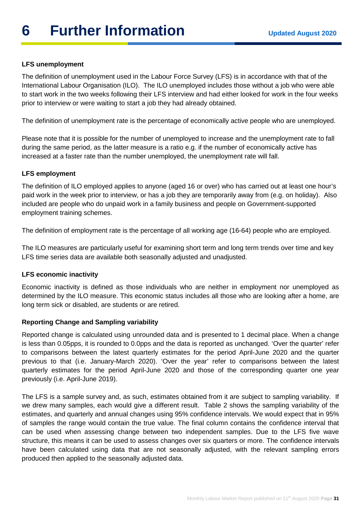#### **LFS unemployment**

The definition of unemployment used in the Labour Force Survey (LFS) is in accordance with that of the International Labour Organisation (ILO). The ILO unemployed includes those without a job who were able to start work in the two weeks following their LFS interview and had either looked for work in the four weeks prior to interview or were waiting to start a job they had already obtained.

The definition of unemployment rate is the percentage of economically active people who are unemployed.

Please note that it is possible for the number of unemployed to increase and the unemployment rate to fall during the same period, as the latter measure is a ratio e.g. if the number of economically active has increased at a faster rate than the number unemployed, the unemployment rate will fall.

#### **LFS employment**

The definition of ILO employed applies to anyone (aged 16 or over) who has carried out at least one hour's paid work in the week prior to interview, or has a job they are temporarily away from (e.g. on holiday). Also included are people who do unpaid work in a family business and people on Government-supported employment training schemes.

The definition of employment rate is the percentage of all working age (16-64) people who are employed.

The ILO measures are particularly useful for examining short term and long term trends over time and key LFS time series data are available both seasonally adjusted and unadjusted.

#### **LFS economic inactivity**

Economic inactivity is defined as those individuals who are neither in employment nor unemployed as determined by the ILO measure. This economic status includes all those who are looking after a home, are long term sick or disabled, are students or are retired.

#### **Reporting Change and Sampling variability**

Reported change is calculated using unrounded data and is presented to 1 decimal place. When a change is less than 0.05pps, it is rounded to 0.0pps and the data is reported as unchanged. 'Over the quarter' refer to comparisons between the latest quarterly estimates for the period April-June 2020 and the quarter previous to that (i.e. January-March 2020). 'Over the year' refer to comparisons between the latest quarterly estimates for the period April-June 2020 and those of the corresponding quarter one year previously (i.e. April-June 2019).

The LFS is a sample survey and, as such, estimates obtained from it are subject to sampling variability. If we drew many samples, each would give a different result. Table 2 shows the sampling variability of the estimates, and quarterly and annual changes using 95% confidence intervals. We would expect that in 95% of samples the range would contain the true value. The final column contains the confidence interval that can be used when assessing change between two independent samples. Due to the LFS five wave structure, this means it can be used to assess changes over six quarters or more. The confidence intervals have been calculated using data that are not seasonally adjusted, with the relevant sampling errors produced then applied to the seasonally adjusted data.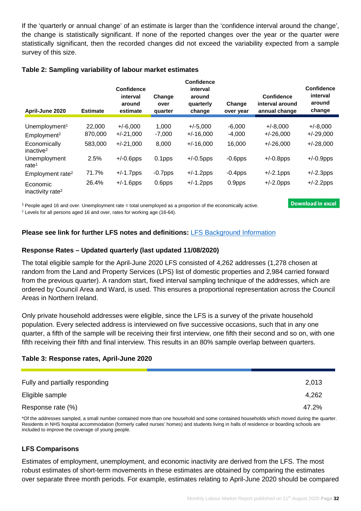If the 'quarterly or annual change' of an estimate is larger than the 'confidence interval around the change', the change is statistically significant. If none of the reported changes over the year or the quarter were statistically significant, then the recorded changes did not exceed the variability expected from a sample survey of this size.

#### **Table 2: Sampling variability of labour market estimates**

| April-June 2020                          | <b>Estimate</b> | Confidence<br>interval<br>around<br>estimate | Change<br>over<br>quarter | <b>Confidence</b><br>interval<br>around<br>quarterly<br>change | Change<br>over year | <b>Confidence</b><br>interval around<br>annual change | <b>Confidence</b><br>interval<br>around<br>change |
|------------------------------------------|-----------------|----------------------------------------------|---------------------------|----------------------------------------------------------------|---------------------|-------------------------------------------------------|---------------------------------------------------|
|                                          |                 |                                              |                           |                                                                |                     |                                                       |                                                   |
| Unemployment <sup>1</sup>                | 22,000          | $+/-6,000$                                   | 1,000                     | $+/-5,000$                                                     | $-6,000$            | $+/-8,000$                                            | $+/-8,000$                                        |
| Employment <sup>2</sup>                  | 870,000         | $+/-21,000$                                  | $-7,000$                  | $+/-16,000$                                                    | $-4,000$            | $+/-26,000$                                           | $+/-29,000$                                       |
| Economically<br>inactive <sup>2</sup>    | 583,000         | $+/-21,000$                                  | 8,000                     | $+/-16,000$                                                    | 16,000              | $+/-26,000$                                           | $+/-28,000$                                       |
| Unemployment<br>rate <sup>1</sup>        | 2.5%            | $+/-0.6$ pps                                 | 0.1pps                    | $+/-0.5$ pps                                                   | $-0.6$ pps          | $+/-0.8$ pps                                          | $+/-0.9$ pps                                      |
| Employment rate <sup>2</sup>             | 71.7%           | $+/-1.7$ pps                                 | $-0.7$ pps                | $+/-1.2$ pps                                                   | $-0.4$ pps          | $+/-2.1$ pps                                          | $+/-2.3$ pps                                      |
| Economic<br>inactivity rate <sup>2</sup> | 26.4%           | $+/-1.6$ pps                                 | 0.6pps                    | $+/-1.2$ pps                                                   | 0.9pps              | $+/-2.0$ pps                                          | $+/-2.2$ pps                                      |

1 People aged 16 and over. Unemployment rate = total unemployed as a proportion of the economically active.

<sup>2</sup> Levels for all persons aged 16 and over, rates for working age (16-64).

**Please see link for further LFS notes and definitions:** [LFS Background Information](https://www.nisra.gov.uk/publications/background-information-lfs)

#### **Response Rates – Updated quarterly (last updated 11/08/2020)**

The total eligible sample for the April-June 2020 LFS consisted of 4,262 addresses (1,278 chosen at random from the Land and Property Services (LPS) list of domestic properties and 2,984 carried forward from the previous quarter). A random start, fixed interval sampling technique of the addresses, which are ordered by Council Area and Ward, is used. This ensures a proportional representation across the Council Areas in Northern Ireland.

Only private household addresses were eligible, since the LFS is a survey of the private household population. Every selected address is interviewed on five successive occasions, such that in any one quarter, a fifth of the sample will be receiving their first interview, one fifth their second and so on, with one fifth receiving their fifth and final interview. This results in an 80% sample overlap between quarters.

#### **Table 3: Response rates, April-June 2020**

| Fully and partially responding | 2,013 |
|--------------------------------|-------|
| Eligible sample                | 4,262 |
| Response rate (%)              | 47.2% |

\*Of the addresses sampled, a small number contained more than one household and some contained households which moved during the quarter. Residents in NHS hospital accommodation (formerly called nurses' homes) and students living in halls of residence or boarding schools are included to improve the coverage of young people.

#### **LFS Comparisons**

Estimates of employment, unemployment, and economic inactivity are derived from the LFS. The most robust estimates of short-term movements in these estimates are obtained by comparing the estimates over separate three month periods. For example, estimates relating to April-June 2020 should be compared

**Download in excel**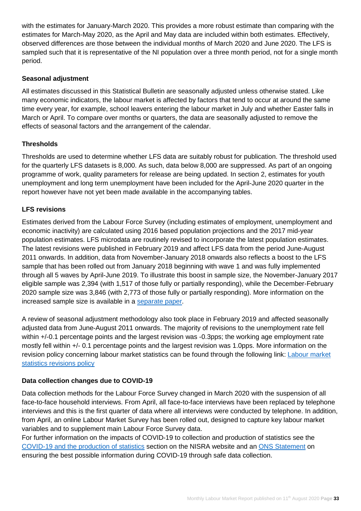with the estimates for January-March 2020. This provides a more robust estimate than comparing with the estimates for March-May 2020, as the April and May data are included within both estimates. Effectively, observed differences are those between the individual months of March 2020 and June 2020. The LFS is sampled such that it is representative of the NI population over a three month period, not for a single month period.

#### **Seasonal adjustment**

All estimates discussed in this Statistical Bulletin are seasonally adjusted unless otherwise stated. Like many economic indicators, the labour market is affected by factors that tend to occur at around the same time every year, for example, school leavers entering the labour market in July and whether Easter falls in March or April. To compare over months or quarters, the data are seasonally adjusted to remove the effects of seasonal factors and the arrangement of the calendar.

#### **Thresholds**

Thresholds are used to determine whether LFS data are suitably robust for publication. The threshold used for the quarterly LFS datasets is 8,000. As such, data below 8,000 are suppressed. As part of an ongoing programme of work, quality parameters for release are being updated. In section 2, estimates for youth unemployment and long term unemployment have been included for the April-June 2020 quarter in the report however have not yet been made available in the accompanying tables.

#### **LFS revisions**

Estimates derived from the Labour Force Survey (including estimates of employment, unemployment and economic inactivity) are calculated using 2016 based population projections and the 2017 mid-year population estimates. LFS microdata are routinely revised to incorporate the latest population estimates. The latest revisions were published in February 2019 and affect LFS data from the period June-August 2011 onwards. In addition, data from November-January 2018 onwards also reflects a boost to the LFS sample that has been rolled out from January 2018 beginning with wave 1 and was fully implemented through all 5 waves by April-June 2019. To illustrate this boost in sample size, the November-January 2017 eligible sample was 2,394 (with 1,517 of those fully or partially responding), while the December-February 2020 sample size was 3,846 (with 2,773 of those fully or partially responding). More information on the increased sample size is available in a [separate paper.](https://www.nisra.gov.uk/publications/background-information-lfs)

A review of seasonal adjustment methodology also took place in February 2019 and affected seasonally adjusted data from June-August 2011 onwards. The majority of revisions to the unemployment rate fell within  $+/-0.1$  percentage points and the largest revision was  $-0.3$ pps; the working age employment rate mostly fell within +/- 0.1 percentage points and the largest revision was 1.0pps. More information on the revision policy concerning labour market statistics can be found through the following link: [Labour market](https://www.ons.gov.uk/methodology/methodologytopicsandstatisticalconcepts/revisions/revisionspoliciesforlabourmarketstatistics)  [statistics revisions policy](https://www.ons.gov.uk/methodology/methodologytopicsandstatisticalconcepts/revisions/revisionspoliciesforlabourmarketstatistics) 

#### **Data collection changes due to COVID-19**

Data collection methods for the Labour Force Survey changed in March 2020 with the suspension of all face-to-face household interviews. From April, all face-to-face interviews have been replaced by telephone interviews and this is the first quarter of data where all interviews were conducted by telephone. In addition, from April, an online Labour Market Survey has been rolled out, designed to capture key labour market variables and to supplement main Labour Force Survey data.

For further information on the impacts of COVID-19 to collection and production of statistics see the [COVID-19 and the production of statistics](https://www.nisra.gov.uk/news/covid-19-and-production-statistics) section on the NISRA website and an [ONS Statement](https://www.ons.gov.uk/news/statementsandletters/ensuringthebestpossibleinformationduringcovid19throughsafedatacollection) on ensuring the best possible information during COVID-19 through safe data collection.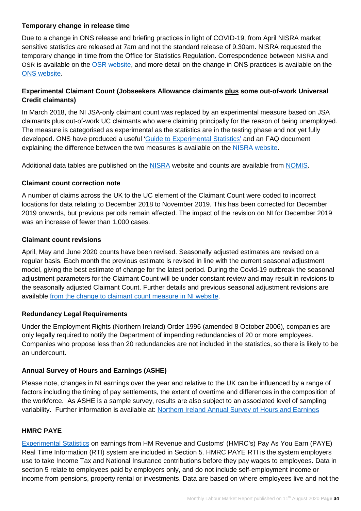#### **Temporary change in release time**

Due to a change in ONS release and briefing practices in light of COVID-19, from April NISRA market sensitive statistics are released at 7am and not the standard release of 9.30am. NISRA requested the temporary change in time from the Office for Statistics Regulation. Correspondence between NISRA and OSR is available on the [OSR website,](https://uksa.statisticsauthority.gov.uk/correspondence/ed-humpherson-letter-to-sir-ian-diamond-regarding-changes-to-publishing-times-for-market-sensitive-releases/) and more detail on the change in ONS practices is available on the [ONS website.](https://www.ons.gov.uk/news/statementsandletters/changestopublicationtimesformarketsensitivestatistics)

#### **Experimental Claimant Count (Jobseekers Allowance claimants plus some out-of-work Universal Credit claimants)**

In March 2018, the NI JSA-only claimant count was replaced by an experimental measure based on JSA claimants plus out-of-work UC claimants who were claiming principally for the reason of being unemployed. The measure is categorised as experimental as the statistics are in the testing phase and not yet fully developed. ONS have produced a useful ['Guide to Experimental Statistics'](https://www.ons.gov.uk/methodology/methodologytopicsandstatisticalconcepts/guidetoexperimentalstatistics) and an FAQ document explaining the difference between the two measures is available on the [NISRA website.](https://www.nisra.gov.uk/news/changes-claimant-count)

Additional data tables are published on the [NISRA](https://www.nisra.gov.uk/statistics/labour-market-and-social-welfare/claimant-count) website and counts are available from [NOMIS.](https://www.nomisweb.co.uk/)

#### **Claimant count correction note**

A number of claims across the UK to the UC element of the Claimant Count were coded to incorrect locations for data relating to December 2018 to November 2019. This has been corrected for December 2019 onwards, but previous periods remain affected. The impact of the revision on NI for December 2019 was an increase of fewer than 1,000 cases.

#### **Claimant count revisions**

April, May and June 2020 counts have been revised. Seasonally adjusted estimates are revised on a regular basis. Each month the previous estimate is revised in line with the current seasonal adjustment model, giving the best estimate of change for the latest period. During the Covid-19 outbreak the seasonal adjustment parameters for the Claimant Count will be under constant review and may result in revisions to the seasonally adjusted Claimant Count. Further details and previous seasonal adjustment revisions are available from the change to claimant count measure in NI website.

#### **Redundancy Legal Requirements**

Under the Employment Rights (Northern Ireland) Order 1996 (amended 8 October 2006), companies are only legally required to notify the Department of impending redundancies of 20 or more employees. Companies who propose less than 20 redundancies are not included in the statistics, so there is likely to be an undercount.

#### **Annual Survey of Hours and Earnings (ASHE)**

Please note, changes in NI earnings over the year and relative to the UK can be influenced by a range of factors including the timing of pay settlements, the extent of overtime and differences in the composition of the workforce. As ASHE is a sample survey, results are also subject to an associated level of sampling variability. Further information is available at: [Northern Ireland Annual Survey of Hours and Earnings](https://www.nisra.gov.uk/statistics/labour-market-and-social-welfare/annual-survey-hours-and-earnings)

#### **HMRC PAYE**

[Experimental](https://www.ons.gov.uk/methodology/methodologytopicsandstatisticalconcepts/guidetoexperimentalstatistics) Statistics on earnings from HM Revenue and Customs' (HMRC's) Pay As You Earn (PAYE) Real Time Information (RTI) system are included in Section 5. HMRC PAYE RTI is the system employers use to take Income Tax and National Insurance contributions before they pay wages to employees. Data in section 5 relate to employees paid by employers only, and do not include self-employment income or income from pensions, property rental or investments. Data are based on where employees live and not the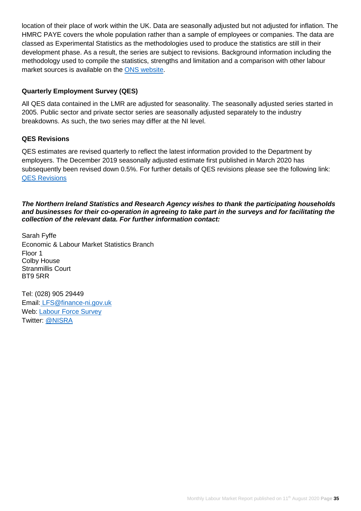location of their place of work within the UK. Data are seasonally adjusted but not adjusted for inflation. The HMRC PAYE covers the whole population rather than a sample of employees or companies. The data are classed as [Experimental Statistics](https://www.ons.gov.uk/methodology/methodologytopicsandstatisticalconcepts/guidetoexperimentalstatistics) as the methodologies used to produce the statistics are still in their development phase. As a result, the series are subject to revisions. Background information including the methodology used to compile the statistics, strengths and limitation and a comparison with other labour market sources is available on the [ONS website.](https://www.ons.gov.uk/news/statementsandletters/changestopublicationtimesformarketsensitivestatistics)

#### **Quarterly Employment Survey (QES)**

All QES data contained in the LMR are adjusted for seasonality. The seasonally adjusted series started in 2005. Public sector and private sector series are seasonally adjusted separately to the industry breakdowns. As such, the two series may differ at the NI level.

#### **QES Revisions**

QES estimates are revised quarterly to reflect the latest information provided to the Department by employers. The December 2019 seasonally adjusted estimate first published in March 2020 has subsequently been revised down 0.5%. For further details of QES revisions please see the following link: [QES Revisions](https://www.nisra.gov.uk/publications/quarterly-employment-survey-revisions)

#### *The Northern Ireland Statistics and Research Agency wishes to thank the participating households and businesses for their co-operation in agreeing to take part in the surveys and for facilitating the collection of the relevant data. For further information contact:*

Sarah Fyffe Economic & Labour Market Statistics Branch Floor 1 Colby House Stranmillis Court BT9 5RR

Tel: (028) 905 29449 Email: [LFS@finance-ni.gov.uk](mailto:LFS@finance-ni.gov.uk) Web: [Labour Force Survey](https://www.nisra.gov.uk/statistics/labour-market-and-social-welfare/labour-force-survey) Twitter: [@NISRA](https://twitter.com/ELMSNISRA)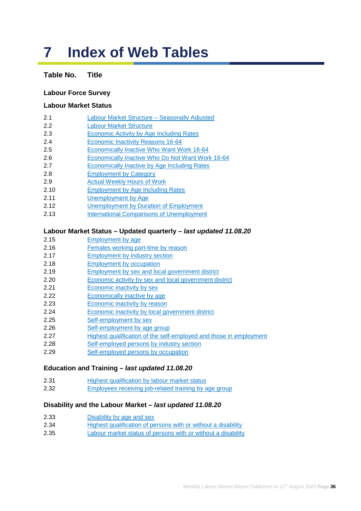## **7 Index of Web Tables**

### **Table No. Title**

#### **Labour Force Survey**

#### **Labour Market Status**

- [2.1 Labour Market Structure Seasonally Adjusted](https://www.nisra.gov.uk/publications/labour-force-survey-tables-august-2020)
- [2.2 Labour Market Structure](https://www.nisra.gov.uk/publications/labour-force-survey-tables-august-2020)
- [2.3 Economic Activity by Age](https://www.nisra.gov.uk/publications/labour-force-survey-tables-august-2020) Including Rates
- [2.4 Economic Inactivity Reasons 16-64](https://www.nisra.gov.uk/publications/labour-force-survey-tables-august-2020)
- [2.5 Economically Inactive Who Want Work](https://www.nisra.gov.uk/publications/labour-force-survey-tables-august-2020) 16-64
- [2.6 Economically Inactive Who Do Not Want Work](https://www.nisra.gov.uk/publications/labour-force-survey-tables-august-2020) 16-64
- [2.7 Economically Inactive by Age](https://www.nisra.gov.uk/publications/labour-force-survey-tables-august-2020) Including Rates
- [2.8 Employment by Category](https://www.nisra.gov.uk/publications/labour-force-survey-tables-august-2020)
- [2.9 Actual Weekly Hours of Work](https://www.nisra.gov.uk/publications/labour-force-survey-tables-august-2020)
- [2.10 Employment by Age](https://www.nisra.gov.uk/publications/labour-force-survey-tables-august-2020) Including Rates
- [2.11 Unemployment by Age](https://www.nisra.gov.uk/publications/labour-force-survey-tables-august-2020)
- [2.12 Unemployment by Duration](https://www.nisra.gov.uk/publications/labour-force-survey-tables-august-2020) of Employment
- [2.13 International Comparisons of Unemployment](https://www.nisra.gov.uk/publications/labour-force-survey-tables-august-2020)

#### **Labour Market Status – Updated quarterly –** *last updated 11.08.20*

- [2.15 Employment by age](https://www.nisra.gov.uk/publications/quarterly-labour-force-survey-tables-august-2020)
- [2.16 Females working part-time by reason](https://www.nisra.gov.uk/publications/quarterly-labour-force-survey-tables-august-2020)
- [2.17 Employment by industry section](https://www.nisra.gov.uk/publications/quarterly-labour-force-survey-tables-august-2020)
- [2.18 Employment by occupation](https://www.nisra.gov.uk/publications/quarterly-labour-force-survey-tables-august-2020)
- [2.19 Employment by sex and local government district](https://www.nisra.gov.uk/publications/quarterly-labour-force-survey-tables-august-2020)
- [2.20 Economic activity by sex and local government district](https://www.nisra.gov.uk/publications/quarterly-labour-force-survey-tables-august-2020)
- [2.21 Economic inactivity by sex](https://www.nisra.gov.uk/publications/quarterly-labour-force-survey-tables-august-2020)
- [2.22 Economically inactive](https://www.nisra.gov.uk/publications/quarterly-labour-force-survey-tables-august-2020) by age
- [2.23 Economic inactivity](https://www.nisra.gov.uk/publications/quarterly-labour-force-survey-tables-august-2020) by reason
- [2.24 Economic inactivity by local government district](https://www.nisra.gov.uk/publications/quarterly-labour-force-survey-tables-august-2020)
- [2.25 Self-employment by sex](https://www.nisra.gov.uk/publications/quarterly-labour-force-survey-tables-august-2020)
- [2.26 Self-employment by age group](https://www.nisra.gov.uk/publications/quarterly-labour-force-survey-tables-august-2020)
- [2.27 Highest qualification of the self-employed and those in employment](https://www.nisra.gov.uk/publications/quarterly-labour-force-survey-tables-august-2020)
- [2.28 Self-employed persons by industry section](https://www.nisra.gov.uk/publications/quarterly-labour-force-survey-tables-august-2020)
- [2.29 Self-employed persons by occupation](https://www.nisra.gov.uk/publications/quarterly-labour-force-survey-tables-august-2020)

#### **Education and Training –** *last updated 11.08.20*

- [2.31 Highest qualification by labour market status](https://www.nisra.gov.uk/publications/quarterly-labour-force-survey-tables-august-2020)
- [2.32 Employees receiving job-related training by age group](https://www.nisra.gov.uk/publications/quarterly-labour-force-survey-tables-august-2020)

#### **Disability and the Labour Market –** *last updated 11.08.20*

- [2.33 Disability by age and sex](https://www.nisra.gov.uk/publications/quarterly-labour-force-survey-tables-august-2020)
- [2.34 Highest qualification of persons with or without a disability](https://www.nisra.gov.uk/publications/quarterly-labour-force-survey-tables-august-2020)
- [2.35 Labour market status of persons with or without a disability](https://www.nisra.gov.uk/publications/quarterly-labour-force-survey-tables-august-2020)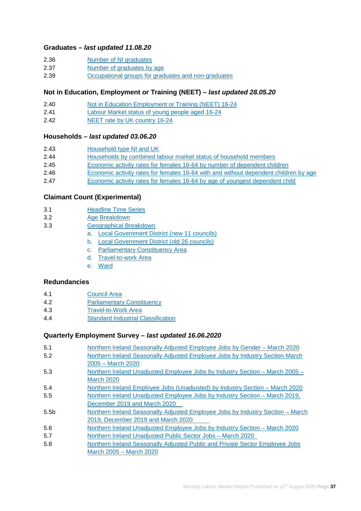#### **Graduates –** *last updated 11.08.20*

- [2.36 Number of NI graduates](https://www.nisra.gov.uk/publications/quarterly-labour-force-survey-tables-august-2020)
- [2.37 Number of graduates by age](https://www.nisra.gov.uk/publications/quarterly-labour-force-survey-tables-august-2020)
- [2.39 Occupational groups for graduates and non-graduates](https://www.nisra.gov.uk/publications/quarterly-labour-force-survey-tables-august-2020)

#### **Not in Education, Employment or Training (NEET) –** *last updated 28.05.20*

- [2.40 Not in Education Employment](https://www.nisra.gov.uk/publications/quarterly-labour-force-survey-tables-may-2020) or Training (NEET) 16-24
- [2.41 Labour Market status of young people aged 16-24](https://www.nisra.gov.uk/publications/quarterly-labour-force-survey-tables-may-2020)
- [2.42 NEET rate by UK country](https://www.nisra.gov.uk/publications/quarterly-labour-force-survey-tables-may-2020) 16-24

#### **Households –** *last updated 03.06.20*

| 2.43 | Household type NI and UK |  |
|------|--------------------------|--|
|      |                          |  |

- [2.44 Households by combined labour market status of household members](https://www.nisra.gov.uk/publications/quarterly-labour-force-survey-tables-may-2020)
- [2.45 Economic activity rates for females 16-64 by number of dependent children](https://www.nisra.gov.uk/publications/quarterly-labour-force-survey-tables-may-2020)
- [2.46 Economic activity rates for females 16-64 with and without dependent children by age](https://www.nisra.gov.uk/publications/quarterly-labour-force-survey-tables-may-2020)
- [2.47 Economic activity rates for females 16-64 by age of youngest dependent child](https://www.nisra.gov.uk/publications/quarterly-labour-force-survey-tables-may-2020)

#### **[Claimant Count \(Experimental\)](https://www.nisra.gov.uk/publications/claimant-count-tables)**

- [3.1 Headline Time Series](https://www.nisra.gov.uk/publications/claimant-count-tables)
- [3.2 Age Breakdown](https://www.nisra.gov.uk/publications/claimant-count-tables)
- [3.3 Geographical Breakdown](https://www.nisra.gov.uk/publications/claimant-count-tables)
	- a. [Local Government District](https://www.nisra.gov.uk/publications/claimant-count-tables) (new 11 councils)
	- b. [Local Government District \(old 26 councils\)](https://www.nisra.gov.uk/publications/claimant-count-tables)
	- c. [Parliamentary Constituency Area](https://www.nisra.gov.uk/publications/claimant-count-tables)
	- d. [Travel-to-work Area](https://www.nisra.gov.uk/publications/claimant-count-tables)
	- e. [Ward](https://www.nisra.gov.uk/publications/claimant-count-tables)

#### **[Redundancies](https://www.nisra.gov.uk/publications/redundancy-tables)**

- [4.1 Council Area](https://www.nisra.gov.uk/publications/redundancy-tables)
- [4.2 Parliamentary Constituency](https://www.nisra.gov.uk/publications/redundancy-tables)
- [4.3 Travel-to-Work Area](https://www.nisra.gov.uk/publications/redundancy-tables)
- [4.4 Standard Industrial Classification](https://www.nisra.gov.uk/publications/redundancy-tables)

#### **Quarterly Employment Survey –** *last updated 16.06.2020*

| 5.1              | Northern Ireland Seasonally Adjusted Employee Jobs by Gender - March 2020      |
|------------------|--------------------------------------------------------------------------------|
| 5.2              | Northern Ireland Seasonally Adjusted Employee Jobs by Industry Section March   |
|                  | 2005 – March 2020                                                              |
| 5.3              | Northern Ireland Unadjusted Employee Jobs by Industry Section - March 2005 -   |
|                  | <b>March 2020</b>                                                              |
| 5.4              | Northern Ireland Employee Jobs (Unadjusted) by Industry Section – March 2020   |
| 5.5              | Northern Ireland Unadjusted Employee Jobs by Industry Section – March 2019,    |
|                  | December 2019 and March 2020                                                   |
| 5.5 <sub>b</sub> | Northern Ireland Seasonally Adjusted Employee Jobs by Industry Section – March |
|                  | 2019, December 2019 and March 2020                                             |
| 5.6              | Northern Ireland Unadjusted Employee Jobs by Industry Section – March 2020     |
| 5.7              | Northern Ireland Unadjusted Public Sector Jobs - March 2020                    |
| 5.8              | Northern Ireland Seasonally Adjusted Public and Private Sector Employee Jobs   |
|                  | March 2005 – March 2020                                                        |